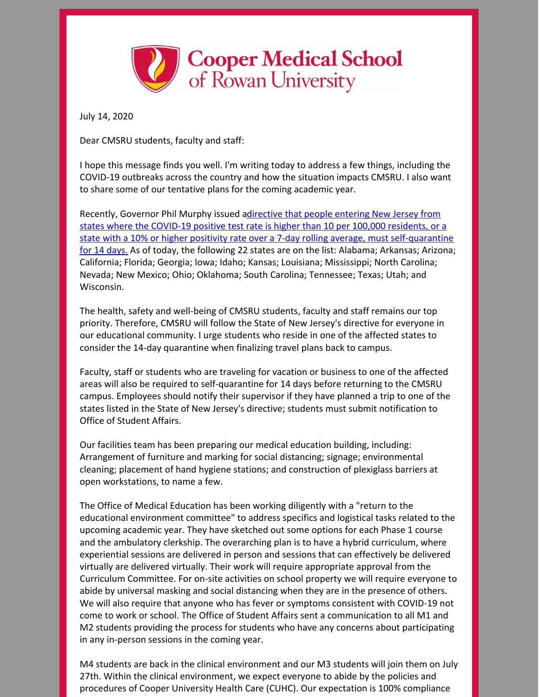

July 14, 2020

Dear CMSRU students, faculty and staff:

I hope this message finds you well. I'm writing today to address a few things, including the COVID-19 outbreaks across the country and how the situation impacts CMSRU. I also want to share some of our tentative plans for the coming academic year.

Recently, Governor Phil Murphy issued adirective that people entering New Jersey from states where the COVID-19 positive test rate is higher than 10 per 100,000 residents, or a state with a 10% or higher positivity rate over a 7-day rolling average, must [self-quarantine](https://covid19.nj.gov/faqs/nj-information/general-public/which-states-are-on-the-travel-advisory-list-are-there-travel-restrictions-to-or-from-new-jersey#direct-link) for 14 days. As of today, the following 22 states are on the list: Alabama; Arkansas; Arizona; California; Florida; Georgia; Iowa; Idaho; Kansas; Louisiana; Mississippi; North Carolina; Nevada; New Mexico; Ohio; Oklahoma; South Carolina; Tennessee; Texas; Utah; and Wisconsin.

The health, safety and well-being of CMSRU students, faculty and staff remains our top priority. Therefore, CMSRU will follow the State of New Jersey's directive for everyone in our educational community. I urge students who reside in one of the affected states to consider the 14-day quarantine when finalizing travel plans back to campus.

Faculty, staff or students who are traveling for vacation or business to one of the affected areas will also be required to self-quarantine for 14 days before returning to the CMSRU campus. Employees should notify their supervisor if they have planned a trip to one of the states listed in the State of New Jersey's directive; students must submit notification to Office of Student Affairs.

Our facilities team has been preparing our medical education building, including: Arrangement of furniture and marking for social distancing; signage; environmental cleaning; placement of hand hygiene stations; and construction of plexiglass barriers at open workstations, to name a few.

The Office of Medical Education has been working diligently with a "return to the educational environment committee" to address specifics and logistical tasks related to the upcoming academic year. They have sketched out some options for each Phase 1 course and the ambulatory clerkship. The overarching plan is to have a hybrid curriculum, where experiential sessions are delivered in person and sessions that can effectively be delivered virtually are delivered virtually. Their work will require appropriate approval from the Curriculum Committee. For on-site activities on school property we will require everyone to abide by universal masking and social distancing when they are in the presence of others. We will also require that anyone who has fever or symptoms consistent with COVID-19 not come to work or school. The Office of Student Affairs sent a communication to all M1 and M2 students providing the process for students who have any concerns about participating in any in-person sessions in the coming year.

M4 students are back in the clinical environment and our M3 students will join them on July 27th. Within the clinical environment, we expect everyone to abide by the policies and procedures of Cooper University Health Care (CUHC). Our expectation is 100% compliance